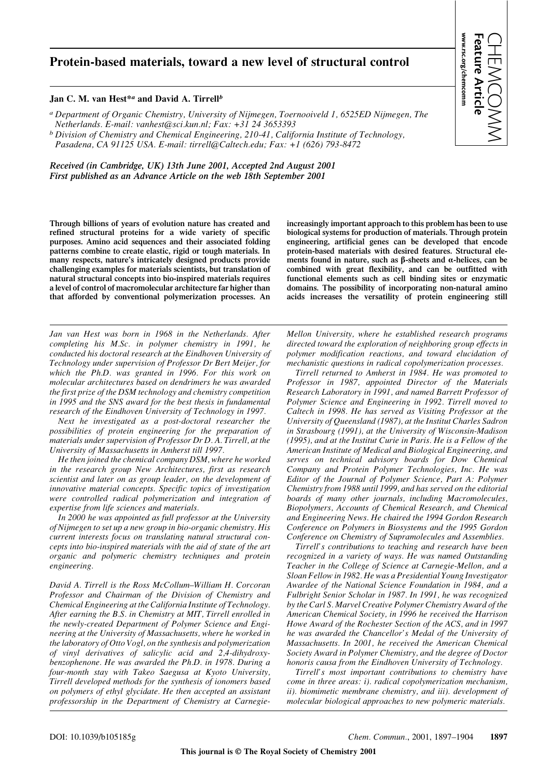# **Protein-based materials, toward a new level of structural control**

#### **Jan C. M. van Hest\****<sup>a</sup>* **and David A. Tirrell***<sup>b</sup>*

*a Department of Organic Chemistry, University of Nijmegen, Toernooiveld 1, 6525ED Nijmegen, The Netherlands. E-mail: vanhest@sci.kun.nl; Fax: +31 24 3653393*

*b Division of Chemistry and Chemical Engineering, 210-41, California Institute of Technology, Pasadena, CA 91125 USA. E-mail: tirrell@Caltech.edu; Fax: +1 (626) 793-8472*

*Received (in Cambridge, UK) 13th June 2001, Accepted 2nd August 2001 First published as an Advance Article on the web 18th September 2001*

**Through billions of years of evolution nature has created and refined structural proteins for a wide variety of specific purposes. Amino acid sequences and their associated folding patterns combine to create elastic, rigid or tough materials. In many respects, nature's intricately designed products provide challenging examples for materials scientists, but translation of natural structural concepts into bio-inspired materials requires a level of control of macromolecular architecture far higher than that afforded by conventional polymerization processes. An**

*Jan van Hest was born in 1968 in the Netherlands. After completing his M.Sc. in polymer chemistry in 1991, he conducted his doctoral research at the Eindhoven University of Technology under supervision of Professor Dr Bert Meijer, for which the Ph.D. was granted in 1996. For this work on molecular architectures based on dendrimers he was awarded the first prize of the DSM technology and chemistry competition in 1995 and the SNS award for the best thesis in fundamental research of the Eindhoven University of Technology in 1997.*

*Next he investigated as a post-doctoral researcher the possibilities of protein engineering for the preparation of materials under supervision of Professor Dr D. A. Tirrell, at the University of Massachusetts in Amherst till 1997.*

*He then joined the chemical company DSM, where he worked in the research group New Architectures, first as research scientist and later on as group leader, on the development of innovative material concepts. Specific topics of investigation were controlled radical polymerization and integration of expertise from life sciences and materials.*

*In 2000 he was appointed as full professor at the University of Nijmegen to set up a new group in bio-organic chemistry. His current interests focus on translating natural structural concepts into bio-inspired materials with the aid of state of the art organic and polymeric chemistry techniques and protein engineering.*

*David A. Tirrell is the Ross McCollum–William H. Corcoran Professor and Chairman of the Division of Chemistry and Chemical Engineering at the California Institute of Technology. After earning the B.S. in Chemistry at MIT, Tirrell enrolled in the newly-created Department of Polymer Science and Engineering at the University of Massachusetts, where he worked in the laboratory of Otto Vogl, on the synthesis and polymerization of vinyl derivatives of salicylic acid and 2,4-dihydroxybenzophenone. He was awarded the Ph.D. in 1978. During a four-month stay with Takeo Saegusa at Kyoto University, Tirrell developed methods for the synthesis of ionomers based on polymers of ethyl glycidate. He then accepted an assistant professorship in the Department of Chemistry at Carnegie-* **increasingly important approach to this problem has been to use biological systems for production of materials. Through protein engineering, artificial genes can be developed that encode protein-based materials with desired features. Structural ele**ments found in nature, such as  $\beta$ -sheets and  $\alpha$ -helices, can be **combined with great flexibility, and can be outfitted with functional elements such as cell binding sites or enzymatic domains. The possibility of incorporating non-natural amino acids increases the versatility of protein engineering still**

*Mellon University, where he established research programs directed toward the exploration of neighboring group effects in polymer modification reactions, and toward elucidation of mechanistic questions in radical copolymerization processes.*

*Tirrell returned to Amherst in 1984. He was promoted to Professor in 1987, appointed Director of the Materials Research Laboratory in 1991, and named Barrett Professor of Polymer Science and Engineering in 1992. Tirrell moved to Caltech in 1998. He has served as Visiting Professor at the University of Queensland (1987), at the Institut Charles Sadron in Strasbourg (1991), at the University of Wisconsin-Madison (1995), and at the Institut Curie in Paris. He is a Fellow of the American Institute of Medical and Biological Engineering, and serves on technical advisory boards for Dow Chemical Company and Protein Polymer Technologies, Inc. He was Editor of the Journal of Polymer Science, Part A: Polymer Chemistry from 1988 until 1999, and has served on the editorial boards of many other journals, including Macromolecules, Biopolymers, Accounts of Chemical Research, and Chemical and Engineering News. He chaired the 1994 Gordon Research Conference on Polymers in Biosystems and the 1995 Gordon Conference on Chemistry of Supramolecules and Assemblies.*

*Tirrell's contributions to teaching and research have been recognized in a variety of ways. He was named Outstanding Teacher in the College of Science at Carnegie-Mellon, and a Sloan Fellow in 1982. He was a Presidential Young Investigator Awardee of the National Science Foundation in 1984, and a Fulbright Senior Scholar in 1987. In 1991, he was recognized by the Carl S. Marvel Creative Polymer Chemistry Award of the American Chemical Society, in 1996 he received the Harrison Howe Award of the Rochester Section of the ACS, and in 1997 he was awarded the Chancellor's Medal of the University of Massachusetts. In 2001, he received the American Chemical Society Award in Polymer Chemistry, and the degree of Doctor honoris causa from the Eindhoven University of Technology.*

*Tirrell's most important contributions to chemistry have come in three areas: i). radical copolymerization mechanism, ii). biomimetic membrane chemistry, and iii). development of molecular biological approaches to new polymeric materials.*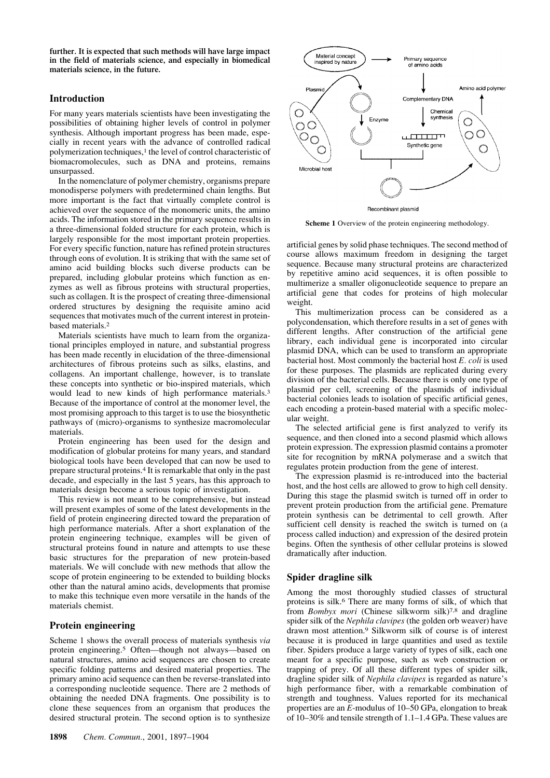**further. It is expected that such methods will have large impact in the field of materials science, and especially in biomedical materials science, in the future.**

### **Introduction**

For many years materials scientists have been investigating the possibilities of obtaining higher levels of control in polymer synthesis. Although important progress has been made, especially in recent years with the advance of controlled radical polymerization techniques,<sup>1</sup> the level of control characteristic of biomacromolecules, such as DNA and proteins, remains unsurpassed.

In the nomenclature of polymer chemistry, organisms prepare monodisperse polymers with predetermined chain lengths. But more important is the fact that virtually complete control is achieved over the sequence of the monomeric units, the amino acids. The information stored in the primary sequence results in a three-dimensional folded structure for each protein, which is largely responsible for the most important protein properties. For every specific function, nature has refined protein structures through eons of evolution. It is striking that with the same set of amino acid building blocks such diverse products can be prepared, including globular proteins which function as enzymes as well as fibrous proteins with structural properties, such as collagen. It is the prospect of creating three-dimensional ordered structures by designing the requisite amino acid sequences that motivates much of the current interest in proteinbased materials.2

Materials scientists have much to learn from the organizational principles employed in nature, and substantial progress has been made recently in elucidation of the three-dimensional architectures of fibrous proteins such as silks, elastins, and collagens. An important challenge, however, is to translate these concepts into synthetic or bio-inspired materials, which would lead to new kinds of high performance materials.<sup>3</sup> Because of the importance of control at the monomer level, the most promising approach to this target is to use the biosynthetic pathways of (micro)-organisms to synthesize macromolecular materials.

Protein engineering has been used for the design and modification of globular proteins for many years, and standard biological tools have been developed that can now be used to prepare structural proteins.4 It is remarkable that only in the past decade, and especially in the last 5 years, has this approach to materials design become a serious topic of investigation.

This review is not meant to be comprehensive, but instead will present examples of some of the latest developments in the field of protein engineering directed toward the preparation of high performance materials. After a short explanation of the protein engineering technique, examples will be given of structural proteins found in nature and attempts to use these basic structures for the preparation of new protein-based materials. We will conclude with new methods that allow the scope of protein engineering to be extended to building blocks other than the natural amino acids, developments that promise to make this technique even more versatile in the hands of the materials chemist.

# **Protein engineering**

Scheme 1 shows the overall process of materials synthesis *via* protein engineering.5 Often—though not always—based on natural structures, amino acid sequences are chosen to create specific folding patterns and desired material properties. The primary amino acid sequence can then be reverse-translated into a corresponding nucleotide sequence. There are 2 methods of obtaining the needed DNA fragments. One possibility is to clone these sequences from an organism that produces the desired structural protein. The second option is to synthesize



Recombinant plasmid

**Scheme 1** Overview of the protein engineering methodology.

artificial genes by solid phase techniques. The second method of course allows maximum freedom in designing the target sequence. Because many structural proteins are characterized by repetitive amino acid sequences, it is often possible to multimerize a smaller oligonucleotide sequence to prepare an artificial gene that codes for proteins of high molecular weight.

This multimerization process can be considered as a polycondensation, which therefore results in a set of genes with different lengths. After construction of the artificial gene library, each individual gene is incorporated into circular plasmid DNA, which can be used to transform an appropriate bacterial host. Most commonly the bacterial host *E. coli* is used for these purposes. The plasmids are replicated during every division of the bacterial cells. Because there is only one type of plasmid per cell, screening of the plasmids of individual bacterial colonies leads to isolation of specific artificial genes, each encoding a protein-based material with a specific molecular weight.

The selected artificial gene is first analyzed to verify its sequence, and then cloned into a second plasmid which allows protein expression. The expression plasmid contains a promoter site for recognition by mRNA polymerase and a switch that regulates protein production from the gene of interest.

The expression plasmid is re-introduced into the bacterial host, and the host cells are allowed to grow to high cell density. During this stage the plasmid switch is turned off in order to prevent protein production from the artificial gene. Premature protein synthesis can be detrimental to cell growth. After sufficient cell density is reached the switch is turned on (a process called induction) and expression of the desired protein begins. Often the synthesis of other cellular proteins is slowed dramatically after induction.

## **Spider dragline silk**

Among the most thoroughly studied classes of structural proteins is silk.6 There are many forms of silk, of which that from *Bombyx mori* (Chinese silkworm silk)7,8 and dragline spider silk of the *Nephila clavipes* (the golden orb weaver) have drawn most attention.9 Silkworm silk of course is of interest because it is produced in large quantities and used as textile fiber. Spiders produce a large variety of types of silk, each one meant for a specific purpose, such as web construction or trapping of prey. Of all these different types of spider silk, dragline spider silk of *Nephila clavipes* is regarded as nature's high performance fiber, with a remarkable combination of strength and toughness. Values reported for its mechanical properties are an *E*-modulus of 10–50 GPa, elongation to break of 10–30% and tensile strength of 1.1–1.4 GPa. These values are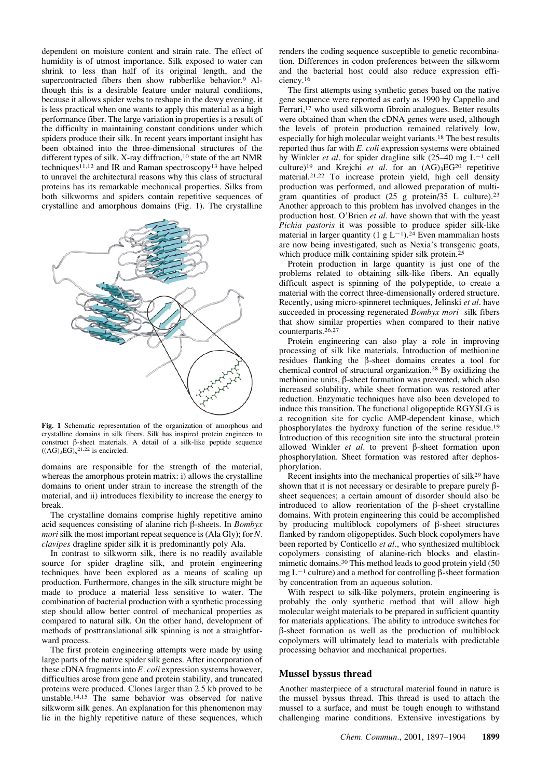dependent on moisture content and strain rate. The effect of humidity is of utmost importance. Silk exposed to water can shrink to less than half of its original length, and the supercontracted fibers then show rubberlike behavior.<sup>9</sup> Although this is a desirable feature under natural conditions, because it allows spider webs to reshape in the dewy evening, it is less practical when one wants to apply this material as a high performance fiber. The large variation in properties is a result of the difficulty in maintaining constant conditions under which spiders produce their silk. In recent years important insight has been obtained into the three-dimensional structures of the different types of silk. X-ray diffraction,  $10$  state of the art NMR techniques<sup>11,12</sup> and IR and Raman spectroscopy<sup>13</sup> have helped to unravel the architectural reasons why this class of structural proteins has its remarkable mechanical properties. Silks from both silkworms and spiders contain repetitive sequences of crystalline and amorphous domains (Fig. 1). The crystalline



**Fig. 1** Schematic representation of the organization of amorphous and crystalline domains in silk fibers. Silk has inspired protein engineers to construct  $\beta$ -sheet materials. A detail of a silk-like peptide sequence  $((AG)_3EG)_n^{21,22}$  is encircled.

domains are responsible for the strength of the material, whereas the amorphous protein matrix: i) allows the crystalline domains to orient under strain to increase the strength of the material, and ii) introduces flexibility to increase the energy to break.

The crystalline domains comprise highly repetitive amino acid sequences consisting of alanine rich b-sheets. In *Bombyx mori*silk the most important repeat sequence is (Ala Gly); for *N. clavipes* dragline spider silk it is predominantly poly Ala.

In contrast to silkworm silk, there is no readily available source for spider dragline silk, and protein engineering techniques have been explored as a means of scaling up production. Furthermore, changes in the silk structure might be made to produce a material less sensitive to water. The combination of bacterial production with a synthetic processing step should allow better control of mechanical properties as compared to natural silk. On the other hand, development of methods of posttranslational silk spinning is not a straightforward process.

The first protein engineering attempts were made by using large parts of the native spider silk genes. After incorporation of these cDNA fragments into *E. coli* expression systems however, difficulties arose from gene and protein stability, and truncated proteins were produced. Clones larger than 2.5 kb proved to be unstable.14,15 The same behavior was observed for native silkworm silk genes. An explanation for this phenomenon may lie in the highly repetitive nature of these sequences, which renders the coding sequence susceptible to genetic recombination. Differences in codon preferences between the silkworm and the bacterial host could also reduce expression efficiency.16

The first attempts using synthetic genes based on the native gene sequence were reported as early as 1990 by Cappello and Ferrari,<sup>17</sup> who used silkworm fibroin analogues. Better results were obtained than when the cDNA genes were used, although the levels of protein production remained relatively low, especially for high molecular weight variants.18 The best results reported thus far with *E. coli* expression systems were obtained by Winkler *et al.* for spider dragline silk  $(25-40 \text{ mg } L^{-1} \text{ cell})$ culture)<sup>19</sup> and Krejchi *et al.* for an  $(AG)_{3}EG^{20}$  repetitive material.21,22 To increase protein yield, high cell density production was performed, and allowed preparation of multigram quantities of product (25 g protein/35 L culture).23 Another approach to this problem has involved changes in the production host. O'Brien *et al*. have shown that with the yeast *Pichia pastoris* it was possible to produce spider silk-like material in larger quantity (1 g  $L^{-1}$ ).<sup>24</sup> Even mammalian hosts are now being investigated, such as Nexia's transgenic goats, which produce milk containing spider silk protein.<sup>25</sup>

Protein production in large quantity is just one of the problems related to obtaining silk-like fibers. An equally difficult aspect is spinning of the polypeptide, to create a material with the correct three-dimensionally ordered structure. Recently, using micro-spinneret techniques, Jelinski *et al*. have succeeded in processing regenerated *Bombyx mori* silk fibers that show similar properties when compared to their native counterparts.26,27

Protein engineering can also play a role in improving processing of silk like materials. Introduction of methionine residues flanking the b-sheet domains creates a tool for chemical control of structural organization.28 By oxidizing the methionine units,  $\beta$ -sheet formation was prevented, which also increased solubility, while sheet formation was restored after reduction. Enzymatic techniques have also been developed to induce this transition. The functional oligopeptide RGYSLG is a recognition site for cyclic AMP-dependent kinase, which phosphorylates the hydroxy function of the serine residue.19 Introduction of this recognition site into the structural protein allowed Winkler  $et$  al. to prevent  $\beta$ -sheet formation upon phosphorylation. Sheet formation was restored after dephosphorylation.

Recent insights into the mechanical properties of silk29 have shown that it is not necessary or desirable to prepare purely  $\beta$ sheet sequences; a certain amount of disorder should also be introduced to allow reorientation of the  $\beta$ -sheet crystalline domains. With protein engineering this could be accomplished by producing multiblock copolymers of  $\beta$ -sheet structures flanked by random oligopeptides. Such block copolymers have been reported by Conticello *et al.*, who synthesized multiblock copolymers consisting of alanine-rich blocks and elastinmimetic domains.30 This method leads to good protein yield (50  $mg L^{-1}$  culture) and a method for controlling  $\beta$ -sheet formation by concentration from an aqueous solution.

With respect to silk-like polymers, protein engineering is probably the only synthetic method that will allow high molecular weight materials to be prepared in sufficient quantity for materials applications. The ability to introduce switches for b-sheet formation as well as the production of multiblock copolymers will ultimately lead to materials with predictable processing behavior and mechanical properties.

#### **Mussel byssus thread**

Another masterpiece of a structural material found in nature is the mussel byssus thread. This thread is used to attach the mussel to a surface, and must be tough enough to withstand challenging marine conditions. Extensive investigations by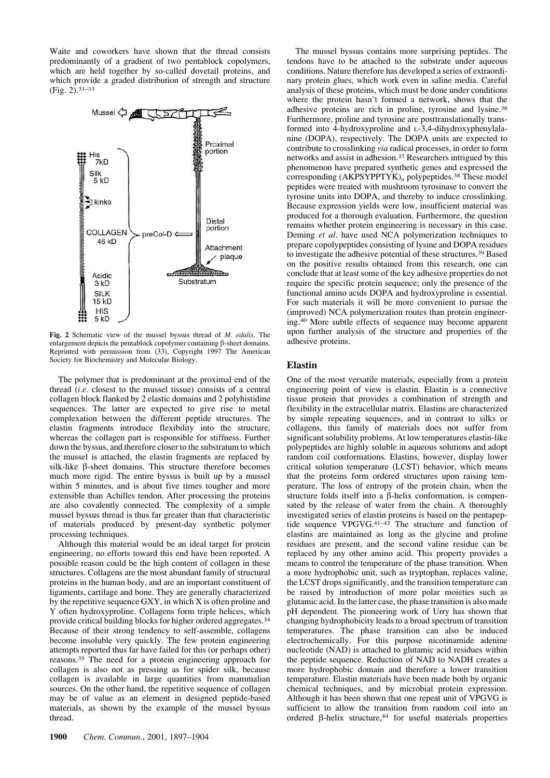Waite and coworkers have shown that the thread consists predominantly of a gradient of two pentablock copolymers, which are held together by so-called dovetail proteins, and which provide a graded distribution of strength and structure (Fig. 2).31–33



**Fig. 2** Schematic view of the mussel byssus thread of *M. edulis*. The enlargement depicts the pentablock copolymer containing  $\beta$ -sheet domains. Reprinted with permission from (33), Copyright 1997 The American Society for Biochemistry and Molecular Biology.

The polymer that is predominant at the proximal end of the thread (*i.e.* closest to the mussel tissue) consists of a central collagen block flanked by 2 elastic domains and 2 polyhistidine sequences. The latter are expected to give rise to metal complexation between the different peptide structures. The elastin fragments introduce flexibility into the structure, whereas the collagen part is responsible for stiffness. Further down the byssus, and therefore closer to the substratum to which the mussel is attached, the elastin fragments are replaced by silk-like  $\beta$ -sheet domains. This structure therefore becomes much more rigid. The entire byssus is built up by a mussel within 5 minutes, and is about five times tougher and more extensible than Achilles tendon. After processing the proteins are also covalently connected. The complexity of a simple mussel byssus thread is thus far greater than that characteristic of materials produced by present-day synthetic polymer processing techniques.

Although this material would be an ideal target for protein engineering, no efforts toward this end have been reported. A possible reason could be the high content of collagen in these structures. Collagens are the most abundant family of structural proteins in the human body, and are an important constituent of ligaments, cartilage and bone. They are generally characterized by the repetitive sequence GXY, in which X is often proline and Y often hydroxyproline. Collagens form triple helices, which provide critical building blocks for higher ordered aggregates.34 Because of their strong tendency to self-assemble, collagens become insoluble very quickly. The few protein engineering attempts reported thus far have failed for this (or perhaps other) reasons.35 The need for a protein engineering approach for collagen is also not as pressing as for spider silk, because collagen is available in large quantities from mammalian sources. On the other hand, the repetitive sequence of collagen may be of value as an element in designed peptide-based materials, as shown by the example of the mussel byssus thread.

where the protein hasn't formed a network, shows that the adhesive proteins are rich in proline, tyrosine and lysine.36 Furthermore, proline and tyrosine are posttranslationally transformed into 4-hydroxyproline and L-3,4-dihydroxyphenylalanine (DOPA), respectively. The DOPA units are expected to contribute to crosslinking *via* radical processes, in order to form networks and assist in adhesion.37 Researchers intrigued by this phenomenon have prepared synthetic genes and expressed the corresponding (AKPSYPPTYK)*<sup>n</sup>* polypeptides.38 These model peptides were treated with mushroom tyrosinase to convert the tyrosine units into DOPA, and thereby to induce crosslinking. Because expression yields were low, insufficient material was produced for a thorough evaluation. Furthermore, the question remains whether protein engineering is necessary in this case. Deming *et al*. have used NCA polymerization techniques to prepare copolypeptides consisting of lysine and DOPA residues to investigate the adhesive potential of these structures.39 Based on the positive results obtained from this research, one can conclude that at least some of the key adhesive properties do not require the specific protein sequence; only the presence of the functional amino acids DOPA and hydroxyproline is essential. For such materials it will be more convenient to pursue the (improved) NCA polymerization routes than protein engineering.40 More subtle effects of sequence may become apparent upon further analysis of the structure and properties of the adhesive proteins. **Elastin** One of the most versatile materials, especially from a protein

The mussel byssus contains more surprising peptides. The tendons have to be attached to the substrate under aqueous conditions. Nature therefore has developed a series of extraordinary protein glues, which work even in saline media. Careful analysis of these proteins, which must be done under conditions

engineering point of view is elastin. Elastin is a connective tissue protein that provides a combination of strength and flexibility in the extracellular matrix. Elastins are characterized by simple repeating sequences, and in contrast to silks or collagens, this family of materials does not suffer from significant solubility problems. At low temperatures elastin-like polypeptides are highly soluble in aqueous solutions and adopt random coil conformations. Elastins, however, display lower critical solution temperature (LCST) behavior, which means that the proteins form ordered structures upon raising temperature. The loss of entropy of the protein chain, when the structure folds itself into a  $\beta$ -helix conformation, is compensated by the release of water from the chain. A thoroughly investigated series of elastin proteins is based on the pentapeptide sequence VPGVG.41–43 The structure and function of elastins are maintained as long as the glycine and proline residues are present, and the second valine residue can be replaced by any other amino acid. This property provides a means to control the temperature of the phase transition. When a more hydrophobic unit, such as tryptophan, replaces valine, the LCST drops significantly, and the transition temperature can be raised by introduction of more polar moieties such as glutamic acid. In the latter case, the phase transition is also made pH dependent. The pioneering work of Urry has shown that changing hydrophobicity leads to a broad spectrum of transition temperatures. The phase transition can also be induced electrochemically. For this purpose nicotinamide adenine nucleotide (NAD) is attached to glutamic acid residues within the peptide sequence. Reduction of NAD to NADH creates a more hydrophobic domain and therefore a lower transition temperature. Elastin materials have been made both by organic chemical techniques, and by microbial protein expression. Although it has been shown that one repeat unit of VPGVG is sufficient to allow the transition from random coil into an ordered  $\beta$ -helix structure,<sup>44</sup> for useful materials properties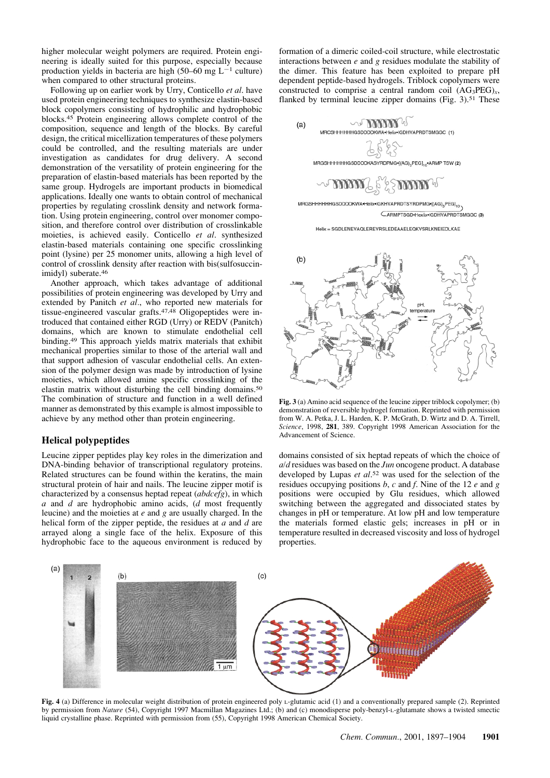higher molecular weight polymers are required. Protein engineering is ideally suited for this purpose, especially because production yields in bacteria are high  $(50-60 \text{ mg } L^{-1}$  culture) when compared to other structural proteins.

Following up on earlier work by Urry, Conticello *et al*. have used protein engineering techniques to synthesize elastin-based block copolymers consisting of hydrophilic and hydrophobic blocks.45 Protein engineering allows complete control of the composition, sequence and length of the blocks. By careful design, the critical micellization temperatures of these polymers could be controlled, and the resulting materials are under investigation as candidates for drug delivery. A second demonstration of the versatility of protein engineering for the preparation of elastin-based materials has been reported by the same group. Hydrogels are important products in biomedical applications. Ideally one wants to obtain control of mechanical properties by regulating crosslink density and network formation. Using protein engineering, control over monomer composition, and therefore control over distribution of crosslinkable moieties, is achieved easily. Conticello *et al*. synthesized elastin-based materials containing one specific crosslinking point (lysine) per 25 monomer units, allowing a high level of control of crosslink density after reaction with bis(sulfosuccinimidyl) suberate.46

Another approach, which takes advantage of additional possibilities of protein engineering was developed by Urry and extended by Panitch *et al.*, who reported new materials for tissue-engineered vascular grafts.<sup>47,48</sup> Oligopeptides were introduced that contained either RGD (Urry) or REDV (Panitch) domains, which are known to stimulate endothelial cell binding.49 This approach yields matrix materials that exhibit mechanical properties similar to those of the arterial wall and that support adhesion of vascular endothelial cells. An extension of the polymer design was made by introduction of lysine moieties, which allowed amine specific crosslinking of the elastin matrix without disturbing the cell binding domains.50 The combination of structure and function in a well defined manner as demonstrated by this example is almost impossible to achieve by any method other than protein engineering.

### **Helical polypeptides**

Leucine zipper peptides play key roles in the dimerization and DNA-binding behavior of transcriptional regulatory proteins. Related structures can be found within the keratins, the main structural protein of hair and nails. The leucine zipper motif is characterized by a consensus heptad repeat (*abdcefg*), in which *a* and *d* are hydrophobic amino acids, (*d* most frequently leucine) and the moieties at *e* and *g* are usually charged. In the helical form of the zipper peptide, the residues at *a* and *d* are arrayed along a single face of the helix. Exposure of this hydrophobic face to the aqueous environment is reduced by formation of a dimeric coiled-coil structure, while electrostatic interactions between *e* and *g* residues modulate the stability of the dimer. This feature has been exploited to prepare pH dependent peptide-based hydrogels. Triblock copolymers were constructed to comprise a central random coil  $(AG_3PEG)_x$ , flanked by terminal leucine zipper domains (Fig. 3).<sup>51</sup> These



MRGSHHHHHHGSDDDDKWA.Helix.IGKHVAPRDTSYRDPMG.[(AG)<sub>3</sub>PEG]<sub>10</sub> CARMPTSGD-Hexlix-IGDHVAPRDTSMGGC (3)

Helix = SGDLENEVAQLEREVRSLEDEAAELEQKVSRLKNEIEDLKAE



**Fig. 3** (a) Amino acid sequence of the leucine zipper triblock copolymer; (b) demonstration of reversible hydrogel formation. Reprinted with permission from W. A. Petka, J. L. Harden, K. P. McGrath, D. Wirtz and D. A. Tirrell, *Science*, 1998, **281**, 389. Copyright 1998 American Association for the Advancement of Science.

domains consisted of six heptad repeats of which the choice of *a/d* residues was based on the *Jun* oncogene product. A database developed by Lupas *et al*.52 was used for the selection of the residues occupying positions *b*, *c* and *f*. Nine of the 12 *e* and *g* positions were occupied by Glu residues, which allowed switching between the aggregated and dissociated states by changes in pH or temperature. At low pH and low temperature the materials formed elastic gels; increases in pH or in temperature resulted in decreased viscosity and loss of hydrogel properties.



**Fig. 4** (a) Difference in molecular weight distribution of protein engineered poly L-glutamic acid (1) and a conventionally prepared sample (2). Reprinted by permission from *Nature* (54), Copyright 1997 Macmillan Magazines Ltd.; (b) and (c) monodisperse poly-benzyl-L-glutamate shows a twisted smectic liquid crystalline phase. Reprinted with permission from (55), Copyright 1998 American Chemical Society.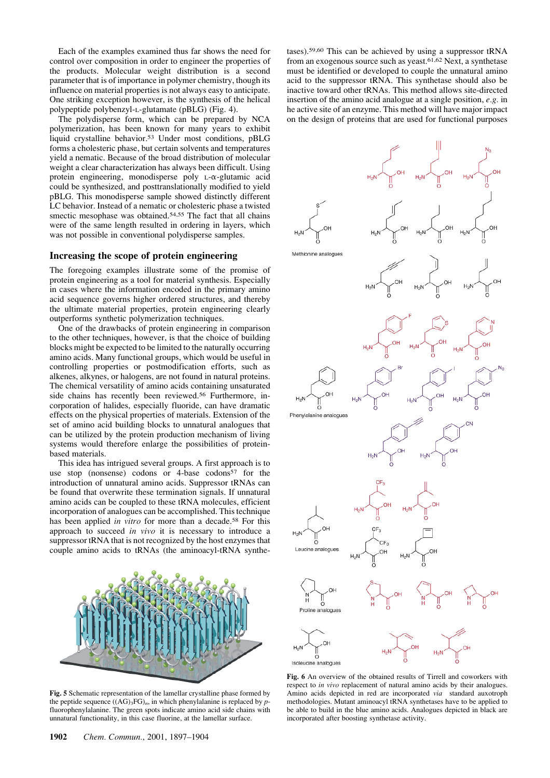Each of the examples examined thus far shows the need for control over composition in order to engineer the properties of the products. Molecular weight distribution is a second parameter that is of importance in polymer chemistry, though its influence on material properties is not always easy to anticipate. One striking exception however, is the synthesis of the helical polypeptide polybenzyl-L-glutamate (pBLG) (Fig. 4).

The polydisperse form, which can be prepared by NCA polymerization, has been known for many years to exhibit liquid crystalline behavior.53 Under most conditions, pBLG forms a cholesteric phase, but certain solvents and temperatures yield a nematic. Because of the broad distribution of molecular weight a clear characterization has always been difficult. Using protein engineering, monodisperse poly L-a-glutamic acid could be synthesized, and posttranslationally modified to yield pBLG. This monodisperse sample showed distinctly different LC behavior. Instead of a nematic or cholesteric phase a twisted smectic mesophase was obtained.<sup>54,55</sup> The fact that all chains were of the same length resulted in ordering in layers, which was not possible in conventional polydisperse samples.

#### **Increasing the scope of protein engineering**

The foregoing examples illustrate some of the promise of protein engineering as a tool for material synthesis. Especially in cases where the information encoded in the primary amino acid sequence governs higher ordered structures, and thereby the ultimate material properties, protein engineering clearly outperforms synthetic polymerization techniques.

One of the drawbacks of protein engineering in comparison to the other techniques, however, is that the choice of building blocks might be expected to be limited to the naturally occurring amino acids. Many functional groups, which would be useful in controlling properties or postmodification efforts, such as alkenes, alkynes, or halogens, are not found in natural proteins. The chemical versatility of amino acids containing unsaturated side chains has recently been reviewed.56 Furthermore, incorporation of halides, especially fluoride, can have dramatic effects on the physical properties of materials. Extension of the set of amino acid building blocks to unnatural analogues that can be utilized by the protein production mechanism of living systems would therefore enlarge the possibilities of proteinbased materials.

This idea has intrigued several groups. A first approach is to use stop (nonsense) codons or  $4$ -base codons<sup>57</sup> for the introduction of unnatural amino acids. Suppressor tRNAs can be found that overwrite these termination signals. If unnatural amino acids can be coupled to these tRNA molecules, efficient incorporation of analogues can be accomplished. This technique has been applied *in vitro* for more than a decade.<sup>58</sup> For this approach to succeed *in vivo* it is necessary to introduce a suppressor tRNA that is not recognized by the host enzymes that couple amino acids to tRNAs (the aminoacyl-tRNA synthe-



**Fig. 5** Schematic representation of the lamellar crystalline phase formed by the peptide sequence  $((AG)_3FG)_n$ , in which phenylalanine is replaced by  $p$ fluorophenylalanine. The green spots indicate amino acid side chains with unnatural functionality, in this case fluorine, at the lamellar surface.

tases).59,60 This can be achieved by using a suppressor tRNA from an exogenous source such as yeast.61,62 Next, a synthetase must be identified or developed to couple the unnatural amino acid to the suppressor tRNA. This synthetase should also be inactive toward other tRNAs. This method allows site-directed insertion of the amino acid analogue at a single position, *e.g.* in he active site of an enzyme. This method will have major impact on the design of proteins that are used for functional purposes



**Fig. 6** An overview of the obtained results of Tirrell and coworkers with respect to *in vivo* replacement of natural amino acids by their analogues. Amino acids depicted in red are incorporated *via* standard auxotroph methodologies. Mutant aminoacyl tRNA synthetases have to be applied to be able to build in the blue amino acids. Analogues depicted in black are incorporated after boosting synthetase activity.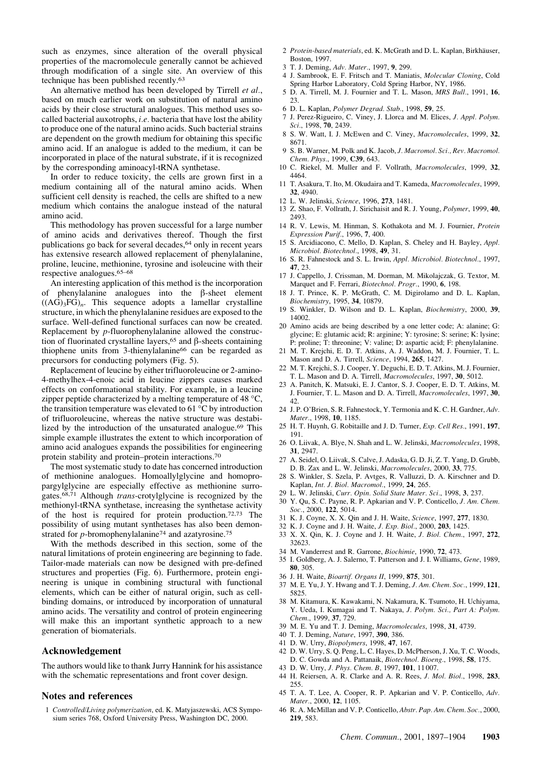such as enzymes, since alteration of the overall physical properties of the macromolecule generally cannot be achieved through modification of a single site. An overview of this technique has been published recently.63

An alternative method has been developed by Tirrell *et al.*, based on much earlier work on substitution of natural amino acids by their close structural analogues. This method uses socalled bacterial auxotrophs, *i.e.* bacteria that have lost the ability to produce one of the natural amino acids. Such bacterial strains are dependent on the growth medium for obtaining this specific amino acid. If an analogue is added to the medium, it can be incorporated in place of the natural substrate, if it is recognized by the corresponding aminoacyl-tRNA synthetase.

In order to reduce toxicity, the cells are grown first in a medium containing all of the natural amino acids. When sufficient cell density is reached, the cells are shifted to a new medium which contains the analogue instead of the natural amino acid.

This methodology has proven successful for a large number of amino acids and derivatives thereof. Though the first publications go back for several decades,64 only in recent years has extensive research allowed replacement of phenylalanine, proline, leucine, methionine, tyrosine and isoleucine with their respective analogues.65–68

An interesting application of this method is the incorporation of phenylalanine analogues into the  $\beta$ -sheet element  $((AG)_{3}FG)_{n}$ . This sequence adopts a lamellar crystalline structure, in which the phenylalanine residues are exposed to the surface. Well-defined functional surfaces can now be created. Replacement by *p*-fluorophenylalanine allowed the construction of fluorinated crystalline layers,<sup>65</sup> and  $\beta$ -sheets containing thiophene units from 3-thienylalanine66 can be regarded as precursors for conducting polymers (Fig. 5).

Replacement of leucine by either trifluoroleucine or 2-amino-4-methylhex-4-enoic acid in leucine zippers causes marked effects on conformational stability. For example, in a leucine zipper peptide characterized by a melting temperature of 48 °C, the transition temperature was elevated to 61 °C by introduction of trifluoroleucine, whereas the native structure was destabilized by the introduction of the unsaturated analogue.69 This simple example illustrates the extent to which incorporation of amino acid analogues expands the possibilities for engineering protein stability and protein–protein interactions.70

The most systematic study to date has concerned introduction of methionine analogues. Homoallylglycine and homopropargylglycine are especially effective as methionine surrogates.68,71 Although *trans*-crotylglycine is recognized by the methionyl-tRNA synthetase, increasing the synthetase activity of the host is required for protein production.72,73 The possibility of using mutant synthetases has also been demonstrated for *p*-bromophenylalanine<sup>74</sup> and azatyrosine.<sup>75</sup>

With the methods described in this section, some of the natural limitations of protein engineering are beginning to fade. Tailor-made materials can now be designed with pre-defined structures and properties (Fig. 6). Furthermore, protein engineering is unique in combining structural with functional elements, which can be either of natural origin, such as cellbinding domains, or introduced by incorporation of unnatural amino acids. The versatility and control of protein engineering will make this an important synthetic approach to a new generation of biomaterials.

#### **Acknowledgement**

The authors would like to thank Jurry Hannink for his assistance with the schematic representations and front cover design.

#### **Notes and references**

1 *Controlled/Living polymerization*, ed. K. Matyjaszewski, ACS Symposium series 768, Oxford University Press, Washington DC, 2000.

- 2 *Protein-based materials*, ed. K. McGrath and D. L. Kaplan, Birkhäuser, Boston, 1997.
- 3 T. J. Deming, *Adv. Mater.*, 1997, **9**, 299.
- 4 J. Sambrook, E. F. Fritsch and T. Maniatis, *Molecular Cloning*, Cold Spring Harbor Laboratory, Cold Spring Harbor, NY, 1986.
- 5 D. A. Tirrell, M. J. Fournier and T. L. Mason, *MRS Bull.*, 1991, **16**, 23.
- 6 D. L. Kaplan, *Polymer Degrad. Stab.*, 1998, **59**, 25.
- 7 J. Perez-Rigueiro, C. Viney, J. Llorca and M. Elices, *J. Appl. Polym. Sci.*, 1998, **70**, 2439.
- 8 S. W. Watt, I. J. McEwen and C. Viney, *Macromolecules*, 1999, **32**, 8671.
- 9 S. B. Warner, M. Polk and K. Jacob, *J. Macromol. Sci., Rev. Macromol. Chem. Phys.*, 1999, **C39**, 643.
- 10 C. Riekel, M. Muller and F. Vollrath, *Macromolecules*, 1999, **32**, 4464.
- 11 T. Asakura, T. Ito, M. Okudaira and T. Kameda, *Macromolecules*, 1999, **32**, 4940.
- 12 L. W. Jelinski, *Science*, 1996, **273**, 1481.
- 13 Z. Shao, F. Vollrath, J. Sirichaisit and R. J. Young, *Polymer*, 1999, **40**, 2493.
- 14 R. V. Lewis, M. Hinman, S. Kothakota and M. J. Fournier, *Protein Expression Purif.*, 1996, **7**, 400.
- 15 S. Arcidiacono, C. Mello, D. Kaplan, S. Cheley and H. Bayley, *Appl. Microbiol. Biotechnol.*, 1998, **49**, 31.
- 16 S. R. Fahnestock and S. L. Irwin, *Appl. Microbiol. Biotechnol.*, 1997, **47**, 23.
- 17 J. Cappello, J. Crissman, M. Dorman, M. Mikolajczak, G. Textor, M. Marquet and F. Ferrari, *Biotechnol. Progr.*, 1990, **6**, 198.
- 18 J. T. Prince, K. P. McGrath, C. M. Digirolamo and D. L. Kaplan, *Biochemistry*, 1995, **34**, 10879.
- 19 S. Winkler, D. Wilson and D. L. Kaplan, *Biochemistry*, 2000, **39**, 14002.
- 20 Amino acids are being described by a one letter code; A: alanine; G: glycine; E: glutamic acid; R: arginine; Y: tyrosine; S: serine; K: lysine; P: proline; T: threonine; V: valine; D: aspartic acid; F: phenylalanine.
- 21 M. T. Krejchi, E. D. T. Atkins, A. J. Waddon, M. J. Fournier, T. L. Mason and D. A. Tirrell, *Science*, 1994, **265**, 1427.
- 22 M. T. Krejchi, S. J. Cooper, Y. Deguchi, E. D. T. Atkins, M. J. Fournier, T. L. Mason and D. A. Tirrell, *Macromolecules*, 1997, **30**, 5012.
- 23 A. Panitch, K. Matsuki, E. J. Cantor, S. J. Cooper, E. D. T. Atkins, M. J. Fournier, T. L. Mason and D. A. Tirrell, *Macromolecules*, 1997, **30**, 42.
- 24 J. P. O'Brien, S. R. Fahnestock, Y. Termonia and K. C. H. Gardner, *Adv. Mater.*, 1998, **10**, 1185.
- 25 H. T. Huynh, G. Robitaille and J. D. Turner, *Exp. Cell Res.*, 1991, **197**, 191.
- 26 O. Liivak, A. Blye, N. Shah and L. W. Jelinski, *Macromolecules*, 1998, **31**, 2947.
- 27 A. Seidel, O. Liivak, S. Calve, J. Adaska, G. D. Ji, Z. T. Yang, D. Grubb, D. B. Zax and L. W. Jelinski, *Macromolecules*, 2000, **33**, 775.
- 28 S. Winkler, S. Szela, P. Avtges, R. Valluzzi, D. A. Kirschner and D. Kaplan, *Int. J. Biol. Macromol.*, 1999, **24**, 265.
- 29 L. W. Jelinski, *Curr. Opin. Solid State Mater. Sci.*, 1998, **3**, 237.
- 30 Y. Qu, S. C. Payne, R. P. Apkarian and V. P. Conticello, *J. Am. Chem. Soc.*, 2000, **122**, 5014.
- 31 K. J. Coyne, X. X. Qin and J. H. Waite, *Science*, 1997, **277**, 1830.
- 32 K. J. Coyne and J. H. Waite, *J. Exp. Biol.*, 2000, **203**, 1425.
- 33 X. X. Qin, K. J. Coyne and J. H. Waite, *J. Biol. Chem.*, 1997, **272**, 32623.
- 34 M. Vanderrest and R. Garrone, *Biochimie*, 1990, **72**, 473.
- 35 I. Goldberg, A. J. Salerno, T. Patterson and J. I. Williams, *Gene*, 1989, **80**, 305.
- 36 J. H. Waite, *Bioartif. Organs II*, 1999, **875**, 301.
- 37 M. E. Yu, J. Y. Hwang and T. J. Deming, *J. Am. Chem. Soc.*, 1999, **121**, 5825.
- 38 M. Kitamura, K. Kawakami, N. Nakamura, K. Tsumoto, H. Uchiyama, Y. Ueda, I. Kumagai and T. Nakaya, *J. Polym. Sci., Part A: Polym. Chem.*, 1999, **37**, 729.
- 39 M. E. Yu and T. J. Deming, *Macromolecules*, 1998, **31**, 4739.
- 40 T. J. Deming, *Nature*, 1997, **390**, 386.
- 41 D. W. Urry, *Biopolymers*, 1998, **47**, 167.
- 42 D. W. Urry, S. Q. Peng, L. C. Hayes, D. McPherson, J. Xu, T. C. Woods, D. C. Gowda and A. Pattanaik, *Biotechnol. Bioeng.*, 1998, **58**, 175.
- 43 D. W. Urry, *J. Phys. Chem. B*, 1997, **101**, 11 007.
- 44 H. Reiersen, A. R. Clarke and A. R. Rees, *J. Mol. Biol.*, 1998, **283**, 255.
- 45 T. A. T. Lee, A. Cooper, R. P. Apkarian and V. P. Conticello, *Adv. Mater.*, 2000, **12**, 1105.
- 46 R. A. McMillan and V. P. Conticello, *Abstr. Pap. Am. Chem. Soc.*, 2000, **219**, 583.